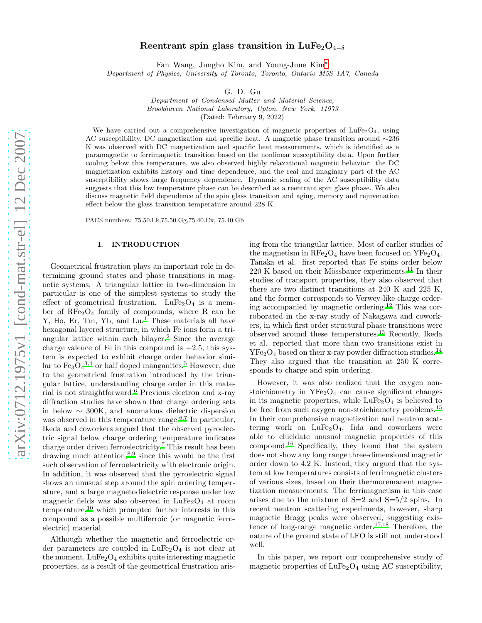# Reentrant spin glass transition in LuFe<sub>2</sub>O<sub>4−δ</sub>

Fan Wang, Jungho Kim, and Young-June Kim[∗](#page-7-0)

*Department of Physics, University of Toronto, Toronto, Ontario M5S 1A7, Canada*

G. D. Gu

*Department of Condensed Matter and Material Science, Brookhaven National Laboratory, Upton, New York, 11973* (Dated: February 9, 2022)

We have carried out a comprehensive investigation of magnetic properties of  $LuFe<sub>2</sub>O<sub>4</sub>$ , using AC susceptibility, DC magnetization and specific heat. A magnetic phase transition around ∼236 K was observed with DC magnetization and specific heat measurements, which is identified as a paramagnetic to ferrimagnetic transition based on the nonlinear susceptibility data. Upon further cooling below this temperature, we also observed highly relaxational magnetic behavior: the DC magnetization exhibits history and time dependence, and the real and imaginary part of the AC susceptibility shows large frequency dependence. Dynamic scaling of the AC susceptibility data suggests that this low temperature phase can be described as a reentrant spin glass phase. We also discuss magnetic field dependence of the spin glass transition and aging, memory and rejuvenation effect below the glass transition temperature around 228 K.

PACS numbers: 75.50.Lk,75.50.Gg,75.40.Cx, 75.40.Gb

## I. INTRODUCTION

Geometrical frustration plays an important role in determining ground states and phase transitions in magnetic systems. A triangular lattice in two-dimension in particular is one of the simplest systems to study the effect of geometrical frustration.  $LuFe<sub>2</sub>O<sub>4</sub>$  is a member of  $\text{RFe}_2\text{O}_4$  family of compounds, where R can be Y, Ho, Er, Tm, Yb, and Lu.<sup>[1](#page-7-1)</sup> These materials all have hexagonal layered structure, in which Fe ions form a tri-angular lattice within each bilayer.<sup>[2](#page-7-2)</sup> Since the average charge valence of Fe in this compound is  $+2.5$ , this system is expected to exhibit charge order behavior similar to  $Fe<sub>3</sub>O<sub>4</sub><sup>3,4</sup>$  $Fe<sub>3</sub>O<sub>4</sub><sup>3,4</sup>$  $Fe<sub>3</sub>O<sub>4</sub><sup>3,4</sup>$  $Fe<sub>3</sub>O<sub>4</sub><sup>3,4</sup>$  $Fe<sub>3</sub>O<sub>4</sub><sup>3,4</sup>$  or half doped manganites[.](#page-7-5)<sup>5</sup> However, due to the geometrical frustration introduced by the triangular lattice, understanding charge order in this material is not straightforward.[6](#page-7-6) Previous electron and x-ray diffraction studies have shown that charge ordering sets in below ∼ 300K, and anomalous dielectric dispersion was observed in this temperature range.<sup>[6](#page-7-6)[,7](#page-7-7)</sup> In particular, Ikeda and coworkers argued that the observed pyroelectric signal below charge ordering temperature indicates charge order driven ferroelectricity[.](#page-7-7)<sup>7</sup> This result has been drawing much attention,  $8.9$  $8.9$  since this would be the first such observation of ferroelectricity with electronic origin. In addition, it was observed that the pyroelectric signal shows an unusual step around the spin ordering temperature, and a large magnetodielectric response under low magnetic fields was also observed in  $LuFe<sub>2</sub>O<sub>4</sub>$  at room temperature,[10](#page-7-10) which prompted further interests in this compound as a possible multiferroic (or magnetic ferroelectric) material.

Although whether the magnetic and ferroelectric order parameters are coupled in  $LuFe<sub>2</sub>O<sub>4</sub>$  is not clear at the moment,  $LuFe<sub>2</sub>O<sub>4</sub>$  exhibits quite interesting magnetic properties, as a result of the geometrical frustration arising from the triangular lattice. Most of earlier studies of the magnetism in  $\text{RFe}_2\text{O}_4$  have been focused on  $\text{YFe}_2\text{O}_4$ . Tanaka et al. first reported that Fe spins order below  $220$  K based on their Mössbauer experiments.<sup>[11](#page-7-11)</sup> In their studies of transport properties, they also observed that there are two distinct transitions at 240 K and 225 K, and the former corresponds to Verwey-like charge ordering accompanied by magnetic ordering.[12](#page-7-12) This was corroborated in the x-ray study of Nakagawa and coworkers, in which first order structural phase transitions were observed around these temperatures[.](#page-7-13)<sup>13</sup> Recently, Ikeda et al. reported that more than two transitions exist in  $YFe<sub>2</sub>O<sub>4</sub>$  based on their x-ray powder diffraction studies.<sup>[14](#page-7-14)</sup> They also argued that the transition at 250 K corresponds to charge and spin ordering.

However, it was also realized that the oxygen nonstoichiometry in  $YFe<sub>2</sub>O<sub>4</sub>$  can cause significant changes in its magnetic properties, while  $LuFe<sub>2</sub>O<sub>4</sub>$  is believed to be free from such oxygen non-stoichiometry problems.<sup>[15](#page-7-15)</sup> In their comprehensive magnetization and neutron scattering work on  $LuFe<sub>2</sub>O<sub>4</sub>$ , Iida and coworkers were able to elucidate unusual magnetic properties of this compound.[16](#page-7-16) Specifically, they found that the system does not show any long range three-dimensional magnetic order down to 4.2 K. Instead, they argued that the system at low temperatures consists of ferrimagnetic clusters of various sizes, based on their thermoremanent magnetization measurements. The ferrimagnetism in this case arises due to the mixture of  $S=2$  and  $S=5/2$  spins. In recent neutron scattering experiments, however, sharp magnetic Bragg peaks were observed, suggesting exis-tence of long-range magnetic order.<sup>[17](#page-7-17)[,18](#page-7-18)</sup> Therefore, the nature of the ground state of LFO is still not understood well.

In this paper, we report our comprehensive study of magnetic properties of  $\text{LuFe}_2\text{O}_4$  using AC susceptibility,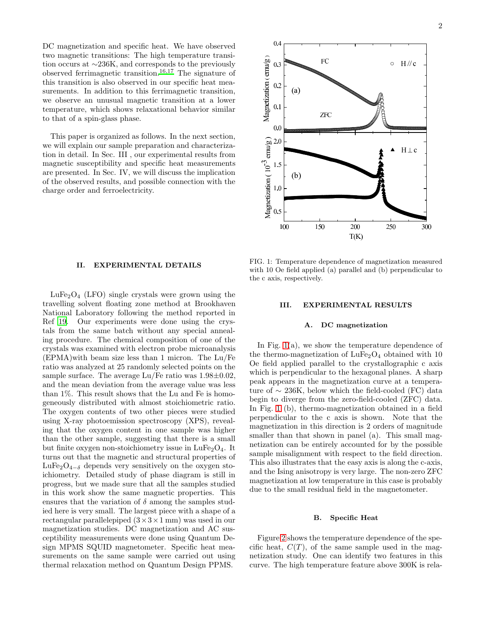DC magnetization and specific heat. We have observed two magnetic transitions: The high temperature transition occurs at ∼236K, and corresponds to the previously observed ferrimagnetic transition.[16](#page-7-16)[,17](#page-7-17) The signature of this transition is also observed in our specific heat measurements. In addition to this ferrimagnetic transition, we observe an unusual magnetic transition at a lower temperature, which shows relaxational behavior similar to that of a spin-glass phase.

This paper is organized as follows. In the next section, we will explain our sample preparation and characterization in detail. In Sec. III , our experimental results from magnetic susceptibility and specific heat measurements are presented. In Sec. IV, we will discuss the implication of the observed results, and possible connection with the charge order and ferroelectricity.

#### II. EXPERIMENTAL DETAILS

 $LuFe<sub>2</sub>O<sub>4</sub>$  (LFO) single crystals were grown using the travelling solvent floating zone method at Brookhaven National Laboratory following the method reported in Ref [19](#page-7-19). Our experiments were done using the crystals from the same batch without any special annealing procedure. The chemical composition of one of the crystals was examined with electron probe microanalysis (EPMA)with beam size less than 1 micron. The Lu/Fe ratio was analyzed at 25 randomly selected points on the sample surface. The average  $Lu/Fe$  ratio was  $1.98\pm0.02$ , and the mean deviation from the average value was less than 1%. This result shows that the Lu and Fe is homogeneously distributed with almost stoichiometric ratio. The oxygen contents of two other pieces were studied using X-ray photoemission spectroscopy (XPS), revealing that the oxygen content in one sample was higher than the other sample, suggesting that there is a small but finite oxygen non-stoichiometry issue in  $LuFe<sub>2</sub>O<sub>4</sub>$ . It turns out that the magnetic and structural properties of  $LuFe<sub>2</sub>O<sub>4−δ</sub>$  depends very sensitively on the oxygen stoichiometry. Detailed study of phase diagram is still in progress, but we made sure that all the samples studied in this work show the same magnetic properties. This ensures that the variation of  $\delta$  among the samples studied here is very small. The largest piece with a shape of a rectangular parallelepiped  $(3 \times 3 \times 1 \text{ mm})$  was used in our magnetization studies. DC magnetization and AC susceptibility measurements were done using Quantum Design MPMS SQUID magnetometer. Specific heat measurements on the same sample were carried out using thermal relaxation method on Quantum Design PPMS.

<span id="page-1-0"></span>FIG. 1: Temperature dependence of magnetization measured with 10 Oe field applied (a) parallel and (b) perpendicular to the c axis, respectively.

#### III. EXPERIMENTAL RESULTS

## A. DC magnetization

In Fig. [1\(](#page-1-0)a), we show the temperature dependence of the thermo-magnetization of  $LuFe<sub>2</sub>O<sub>4</sub>$  obtained with 10 Oe field applied parallel to the crystallographic c axis which is perpendicular to the hexagonal planes. A sharp peak appears in the magnetization curve at a temperature of  $\sim$  236K, below which the field-cooled (FC) data begin to diverge from the zero-field-cooled (ZFC) data. In Fig. [1](#page-1-0) (b), thermo-magnetization obtained in a field perpendicular to the c axis is shown. Note that the magnetization in this direction is 2 orders of magnitude smaller than that shown in panel (a). This small magnetization can be entirely accounted for by the possible sample misalignment with respect to the field direction. This also illustrates that the easy axis is along the c-axis, and the Ising anisotropy is very large. The non-zero ZFC magnetization at low temperature in this case is probably due to the small residual field in the magnetometer.

#### B. Specific Heat

Figure [2](#page-2-0) shows the temperature dependence of the specific heat,  $C(T)$ , of the same sample used in the magnetization study. One can identify two features in this curve. The high temperature feature above 300K is rela-

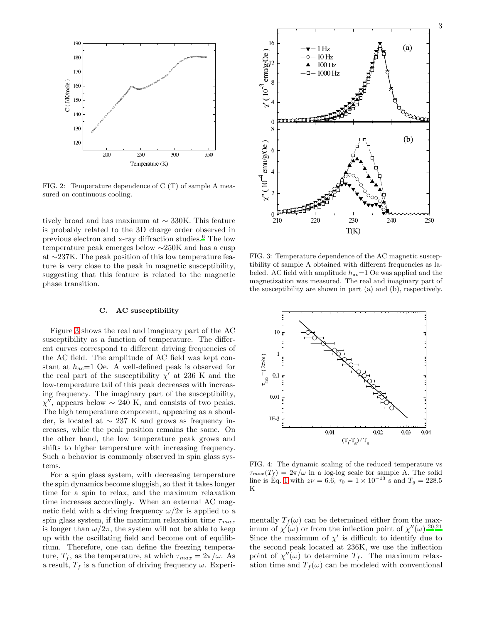

<span id="page-2-0"></span>FIG. 2: Temperature dependence of C (T) of sample A measured on continuous cooling.

tively broad and has maximum at ∼ 330K. This feature is probably related to the 3D charge order observed in previous electron and x-ray diffraction studies.[6](#page-7-6) The low temperature peak emerges below ∼250K and has a cusp at ∼237K. The peak position of this low temperature feature is very close to the peak in magnetic susceptibility, suggesting that this feature is related to the magnetic phase transition.

# C. AC susceptibility

Figure [3](#page-2-1) shows the real and imaginary part of the AC susceptibility as a function of temperature. The different curves correspond to different driving frequencies of the AC field. The amplitude of AC field was kept constant at  $h_{ac}=1$  Oe. A well-defined peak is observed for the real part of the susceptibility  $\chi'$  at 236 K and the low-temperature tail of this peak decreases with increasing frequency. The imaginary part of the susceptibility,  $\chi''$ , appears below ~ 240 K, and consists of two peaks. The high temperature component, appearing as a shoulder, is located at ∼ 237 K and grows as frequency increases, while the peak position remains the same. On the other hand, the low temperature peak grows and shifts to higher temperature with increasing frequency. Such a behavior is commonly observed in spin glass systems.

For a spin glass system, with decreasing temperature the spin dynamics become sluggish, so that it takes longer time for a spin to relax, and the maximum relaxation time increases accordingly. When an external AC magnetic field with a driving frequency  $\omega/2\pi$  is applied to a spin glass system, if the maximum relaxation time  $\tau_{max}$ is longer than  $\omega/2\pi$ , the system will not be able to keep up with the oscillating field and become out of equilibrium. Therefore, one can define the freezing temperature,  $T_f$ , as the temperature, at which  $\tau_{max} = 2\pi/\omega$ . As a result,  $T_f$  is a function of driving frequency  $\omega$ . Experi-



<span id="page-2-1"></span>FIG. 3: Temperature dependence of the AC magnetic susceptibility of sample A obtained with different frequencies as labeled. AC field with amplitude  $h_{ac}=1$  Oe was applied and the magnetization was measured. The real and imaginary part of the susceptibility are shown in part (a) and (b), respectively.



<span id="page-2-2"></span>FIG. 4: The dynamic scaling of the reduced temperature vs  $\tau_{max}(T_f) = 2\pi/\omega$  in a log-log scale for sample A. The solid line is Eq. [1](#page-3-0) with  $z\nu = 6.6$ ,  $\tau_0 = 1 \times 10^{-13}$  s and  $T_g = 228.5$ K

mentally  $T_f(\omega)$  can be determined either from the maximum of  $\chi'(\omega)$  or from the inflection point of  $\chi''(\omega)$ .<sup>[20](#page-7-20)[,21](#page-7-21)</sup> Since the maximum of  $\chi'$  is difficult to identify due to the second peak located at 236K, we use the inflection point of  $\chi''(\omega)$  to determine  $T_f$ . The maximum relaxation time and  $T_f(\omega)$  can be modeled with conventional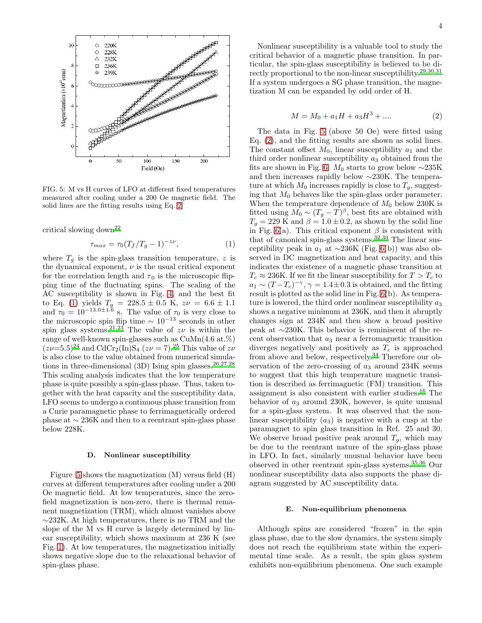

<span id="page-3-2"></span>FIG. 5: M vs H curves of LFO at different fixed temperatures measured after cooling under a 200 Oe magnetic field. The solid lines are the fitting results using Eq. [2.](#page-3-1)

critical slowing down[22](#page-7-22)

<span id="page-3-0"></span>
$$
\tau_{max} = \tau_0 (T_f / T_g - 1)^{-z\nu}, \tag{1}
$$

where  $T_g$  is the spin-glass transition temperature, z is the dynamical exponent,  $\nu$  is the usual critical exponent for the correlation length and  $\tau_0$  is the microscopic flipping time of the fluctuating spins. The scaling of the AC susceptibility is shown in Fig. [4,](#page-2-2) and the best fit to Eq. [\(1\)](#page-3-0) yields  $T_g = 228.5 \pm 0.5$  K,  $z\nu = 6.6 \pm 1.1$ and  $\tau_0 = 10^{-13.0 \pm 1.6}$  s. The value of  $\tau_0$  is very close to the microscopic spin flip time  $\sim 10^{-13}$  seconds in other spin glass systems.<sup>[21](#page-7-21)[,23](#page-7-23)</sup> The value of  $z\nu$  is within the range of well-known spin-glasses such as CuMn(4.6 at.%)  $(z\nu=5.5)^{24}$  $(z\nu=5.5)^{24}$  $(z\nu=5.5)^{24}$  and CdCr<sub>2</sub>(In)S<sub>4</sub> ( $z\nu=7$ ).<sup>[25](#page-7-25)</sup> This value of  $z\nu$ is also close to the value obtained from numerical simulations in three-dimensional (3D) Ising spin glasses.  $26,27,28$  $26,27,28$  $26,27,28$ This scaling analysis indicates that the low temperature phase is quite possibly a spin-glass phase. Thus, taken together with the heat capacity and the susceptibility data, LFO seems to undergo a continuous phase transition from a Curie paramagnetic phase to ferrimagnetically ordered phase at ∼ 236K and then to a reentrant spin-glass phase below 228K.

#### D. Nonlinear susceptibility

Figure [5](#page-3-2) shows the magnetization (M) versus field (H) curves at different temperatures after cooling under a 200 Oe magnetic field. At low temperatures, since the zerofield magnetization is non-zero, there is thermal remanent magnetization (TRM), which almost vanishes above ∼232K. At high temperatures, there is no TRM and the slope of the M vs H curve is largely determined by linear susceptibility, which shows maximum at 236 K (see Fig. [1\)](#page-1-0). At low temperatures, the magnetization initially shows negative slope due to the relaxational behavior of spin-glass phase.

Nonlinear susceptibility is a valuable tool to study the critical behavior of a magnetic phase transition. In particular, the spin-glass susceptibility is believed to be directly proportional to the non-linear susceptibility.[29](#page-7-29)[,30](#page-7-30)[,31](#page-7-31) If a system undergoes a SG phase transition, the magnetization M can be expanded by odd order of H.

<span id="page-3-1"></span>
$$
M = M_0 + a_1 H + a_3 H^3 + \dots
$$
 (2)

The data in Fig. [5](#page-3-2) (above 50 Oe) were fitted using Eq. [\(2\)](#page-3-1), and the fitting results are shown as solid lines. The constant offset  $M_0$ , linear susceptibility  $a_1$  and the third order nonlinear susceptibility  $a_3$  obtained from the fits are shown in Fig. [6.](#page-4-0)  $M_0$  starts to grow below ∼235K and then increases rapidly below ∼230K. The temperature at which  $M_0$  increases rapidly is close to  $T_g$ , suggesting that  $M_0$  behaves like the spin-glass order parameter. When the temperature dependence of  $M_0$  below 230K is fitted using  $\overline{M_0} \sim (T_g - \overline{T})^{\beta}$ , best fits are obtained with  $T_g = 229$  K and  $\beta = 1.0 \pm 0.2$ , as shown by the solid line in Fig. [6\(](#page-4-0)a). This critical exponent  $\beta$  is consistent with that of canonical spin-glass systems.[32](#page-7-32)[,33](#page-7-33) The linear susceptibility peak in  $a_1$  at ~236K (Fig. [6\(](#page-4-0)b)) was also observed in DC magnetization and heat capacity, and this indicates the existence of a magnetic phase transition at  $T_c \approx 236$ K. If we fit the linear susceptibility for  $T > T_c$  to  $a_1 \sim (T - T_c)^{-\gamma}, \gamma = 1.4 \pm 0.3$  is obtained, and the fitting result is plotted as the solid line in Fig. [6\(](#page-4-0)b). As temperature is lowered, the third order nonlinear susceptibility  $a_3$ shows a negative minimum at 236K, and then it abruptly changes sign at 234K and then show a broad positive peak at ∼230K. This behavior is reminiscent of the recent observation that  $a_3$  near a ferromagnetic transition diverges negatively and positively as  $T_c$  is approached from above and below, respectively.[34](#page-7-34) Therefore our observation of the zero-crossing of  $a_3$  around 234K seems to suggest that this high temperature magnetic transition is described as ferrimagnetic (FM) transition. This assignment is also consistent with earlier studies.[16](#page-7-16) The behavior of  $a_3$  around 230K, however, is quite unusual for a spin-glass system. It was observed that the nonlinear susceptibility  $(a_3)$  is negative with a cusp at the paramagnet to spin glass transition in Ref. 25 and 30. We observe broad positive peak around  $T_q$ , which may be due to the reentrant nature of the spin-glass phase in LFO. In fact, similarly unusual behavior have been observed in other reentrant spin-glass systems.[35](#page-7-35)[,36](#page-7-36) Our nonlinear susceptibility data also supports the phase diagram suggested by AC susceptibility data.

#### E. Non-equilibrium phenomena

Although spins are considered "frozen" in the spin glass phase, due to the slow dynamics, the system simply does not reach the equilibrium state within the experimental time scale. As a result, the spin glass system exhibits non-equilibrium phenomena. One such example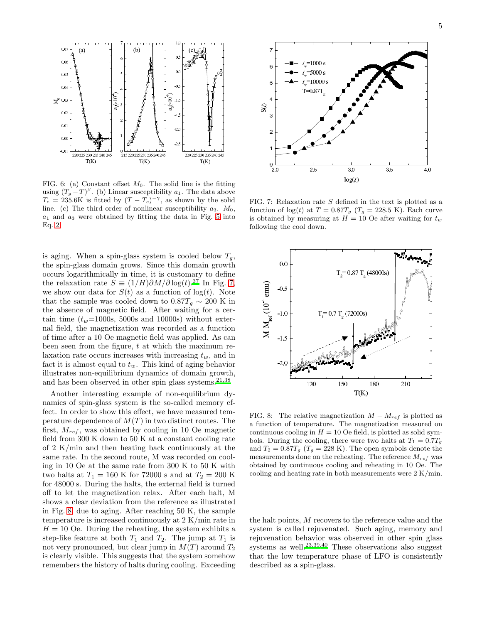

<span id="page-4-0"></span>FIG. 6: (a) Constant offset  $M_0$ . The solid line is the fitting using  $(T_g - T)^\beta$ . (b) Linear susceptibility  $a_1$ . The data above  $T_c = 235.6$ K is fitted by  $(T - T_c)^{-\gamma}$ , as shown by the solid line. (c) The third order of nonlinear susceptibility  $a_3$ .  $M_0$ ,  $a_1$  and  $a_3$  were obtained by fitting the data in Fig. [5](#page-3-2) into Eq. [2.](#page-3-1)

is aging. When a spin-glass system is cooled below  $T_q$ , the spin-glass domain grows. Since this domain growth occurs logarithmically in time, it is customary to define the relaxation rate  $S \equiv (1/H)\partial M/\partial \log(t)$ .<sup>[37](#page-7-37)</sup> In Fig. [7,](#page-4-1) we show our data for  $S(t)$  as a function of  $log(t)$ . Note that the sample was cooled down to  $0.87T<sub>g</sub> \sim 200$  K in the absence of magnetic field. After waiting for a certain time  $(t_w=1000s, 5000s$  and 10000s) without external field, the magnetization was recorded as a function of time after a 10 Oe magnetic field was applied. As can been seen from the figure, t at which the maximum relaxation rate occurs increases with increasing  $t_w$ , and in fact it is almost equal to  $t_w$ . This kind of aging behavior illustrates non-equilibrium dynamics of domain growth, and has been observed in other spin glass systems. $21,38$  $21,38$ 

Another interesting example of non-equilibrium dynamics of spin-glass system is the so-called memory effect. In order to show this effect, we have measured temperature dependence of  $M(T)$  in two distinct routes. The first,  $M_{ref}$ , was obtained by cooling in 10 Oe magnetic field from 300 K down to 50 K at a constant cooling rate of 2 K/min and then heating back continuously at the same rate. In the second route, M was recorded on cooling in 10 Oe at the same rate from 300 K to 50 K with two halts at  $T_1 = 160 \text{ K}$  for 72000 s and at  $T_2 = 200 \text{ K}$ for 48000 s. During the halts, the external field is turned off to let the magnetization relax. After each halt, M shows a clear deviation from the reference as illustrated in Fig. [8,](#page-4-2) due to aging. After reaching 50 K, the sample temperature is increased continuously at 2 K/min rate in  $H = 10$  Oe. During the reheating, the system exhibits a step-like feature at both  $T_1$  and  $T_2$ . The jump at  $T_1$  is not very pronounced, but clear jump in  $M(T)$  around  $T_2$ is clearly visible. This suggests that the system somehow remembers the history of halts during cooling. Exceeding



<span id="page-4-1"></span>FIG. 7: Relaxation rate S defined in the text is plotted as a function of  $log(t)$  at  $T = 0.87T_g$  ( $T_g = 228.5$  K). Each curve is obtained by measuring at  $H = 10$  Oe after waiting for  $t_w$ following the cool down.



<span id="page-4-2"></span>FIG. 8: The relative magnetization  $M - M_{ref}$  is plotted as a function of temperature. The magnetization measured on continuous cooling in  $H = 10$  Oe field, is plotted as solid symbols. During the cooling, there were two halts at  $T_1 = 0.7T_g$ and  $T_2 = 0.87T_g$  ( $T_g = 228$  K). The open symbols denote the measurements done on the reheating. The reference  ${\cal M}_{ref}$  was obtained by continuous cooling and reheating in 10 Oe. The cooling and heating rate in both measurements were 2 K/min.

the halt points, M recovers to the reference value and the system is called rejuvenated. Such aging, memory and rejuvenation behavior was observed in other spin glass systems as well.<sup>[23](#page-7-23)[,39](#page-7-39)[,40](#page-7-40)</sup> These observations also suggest that the low temperature phase of LFO is consistently described as a spin-glass.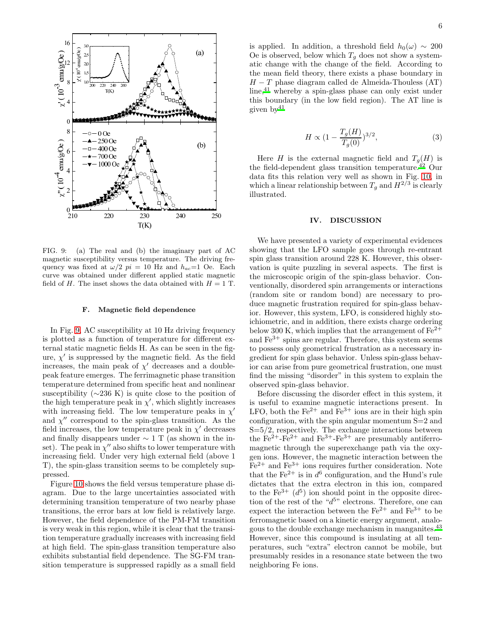

<span id="page-5-0"></span>FIG. 9: (a) The real and (b) the imaginary part of AC magnetic susceptibility versus temperature. The driving frequency was fixed at  $\omega/2$   $pi = 10$  Hz and  $h_{ac} = 1$  Oe. Each curve was obtained under different applied static magnetic field of H. The inset shows the data obtained with  $H = 1$  T.

## F. Magnetic field dependence

In Fig. [9,](#page-5-0) AC susceptibility at 10 Hz driving frequency is plotted as a function of temperature for different external static magnetic fields H. As can be seen in the figure,  $\chi'$  is suppressed by the magnetic field. As the field increases, the main peak of  $\chi'$  decreases and a doublepeak feature emerges. The ferrimagnetic phase transition temperature determined from specific heat and nonlinear susceptibility  $(\sim 236 \text{ K})$  is quite close to the position of the high temperature peak in  $\chi'$ , which slightly increases with increasing field. The low temperature peaks in  $\chi'$ and  $\chi''$  correspond to the spin-glass transition. As the field increases, the low temperature peak in  $\chi'$  decreases and finally disappears under  $\sim 1$  T (as shown in the inset). The peak in  $\chi''$  also shifts to lower temperature with increasing field. Under very high external field (above 1 T), the spin-glass transition seems to be completely suppressed.

Figure [10](#page-6-0) shows the field versus temperature phase diagram. Due to the large uncertainties associated with determining transition temperature of two nearby phase transitions, the error bars at low field is relatively large. However, the field dependence of the PM-FM transition is very weak in this region, while it is clear that the transition temperature gradually increases with increasing field at high field. The spin-glass transition temperature also exhibits substantial field dependence. The SG-FM transition temperature is suppressed rapidly as a small field is applied. In addition, a threshold field  $h_0(\omega) \sim 200$ Oe is observed, below which  $T<sub>g</sub>$  does not show a systematic change with the change of the field. According to the mean field theory, there exists a phase boundary in  $H - T$  phase diagram called de Almeida-Thouless (AT) line,<sup>[41](#page-7-41)</sup> whereby a spin-glass phase can only exist under this boundary (in the low field region). The AT line is given  $bv^{41}$  $bv^{41}$  $bv^{41}$ 

<span id="page-5-1"></span>
$$
H \propto (1 - \frac{T_g(H)}{T_g(0)})^{3/2},\tag{3}
$$

Here H is the external magnetic field and  $T_g(H)$  is the field-dependent glass transition temperature[.](#page-7-42)<sup>42</sup> Our data fits this relation very well as shown in Fig. [10,](#page-6-0) in which a linear relationship between  $T_g$  and  $H^{2/3}$  is clearly illustrated.

# IV. DISCUSSION

We have presented a variety of experimental evidences showing that the LFO sample goes through re-entrant spin glass transition around 228 K. However, this observation is quite puzzling in several aspects. The first is the microscopic origin of the spin-glass behavior. Conventionally, disordered spin arrangements or interactions (random site or random bond) are necessary to produce magnetic frustration required for spin-glass behavior. However, this system, LFO, is considered highly stoichiometric, and in addition, there exists charge ordering below 300 K, which implies that the arrangement of  $Fe^{2+}$ and  $\mathrm{Fe}^{3+}$  spins are regular. Therefore, this system seems to possess only geometrical frustration as a necessary ingredient for spin glass behavior. Unless spin-glass behavior can arise from pure geometrical frustration, one must find the missing "disorder" in this system to explain the observed spin-glass behavior.

Before discussing the disorder effect in this system, it is useful to examine magnetic interactions present. In LFO, both the  $\text{Fe}^{2+}$  and  $\text{Fe}^{3+}$  ions are in their high spin configuration, with the spin angular momentum S=2 and  $S=5/2$ , respectively. The exchange interactions between the  $Fe^{2+}-Fe^{2+}$  and  $Fe^{3+}-Fe^{3+}$  are presumably antiferromagnetic through the superexchange path via the oxygen ions. However, the magnetic interaction between the  $Fe<sup>2+</sup>$  and  $Fe<sup>3+</sup>$  ions requires further consideration. Note that the  $\text{Fe}^{2+}$  is in  $d^6$  configuration, and the Hund's rule dictates that the extra electron in this ion, compared to the  $\text{Fe}^{3+}$   $(d^5)$  ion should point in the opposite direction of the rest of the " $d^{5}$ " electrons. Therefore, one can expect the interaction between the  $Fe^{2+}$  and  $Fe^{3+}$  to be ferromagnetic based on a kinetic energy argument, analogous to the double exchange mechanism in manganites.[43](#page-7-43) However, since this compound is insulating at all temperatures, such "extra" electron cannot be mobile, but presumably resides in a resonance state between the two neighboring Fe ions.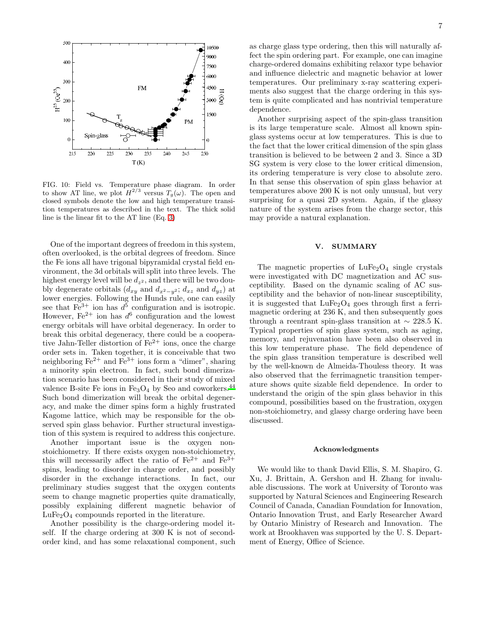

<span id="page-6-0"></span>FIG. 10: Field vs. Temperature phase diagram. In order to show AT line, we plot  $H^{2/3}$  versus  $T_g(\omega)$ . The open and closed symbols denote the low and high temperature transition temperatures as described in the text. The thick solid line is the linear fit to the AT line (Eq. [3\)](#page-5-1)

One of the important degrees of freedom in this system, often overlooked, is the orbital degrees of freedom. Since the Fe ions all have trigonal bipyramidal crystal field environment, the 3d orbitals will split into three levels. The highest energy level will be  $d_{z^2}$ , and there will be two doubly degenerate orbitals  $(d_{xy}$  and  $d_{x^2-y^2}$ ;  $d_{xz}$  and  $d_{yz}$ ) at lower energies. Following the Hunds rule, one can easily see that  $\text{Fe}^{3+}$  ion has  $d^5$  configuration and is isotropic. However, Fe<sup>2+</sup> ion has  $d^6$  configuration and the lowest energy orbitals will have orbital degeneracy. In order to break this orbital degeneracy, there could be a cooperative Jahn-Teller distortion of  $Fe^{2+}$  ions, once the charge order sets in. Taken together, it is conceivable that two neighboring  $\text{Fe}^{2+}$  and  $\text{Fe}^{3+}$  ions form a "dimer", sharing a minority spin electron. In fact, such bond dimerization scenario has been considered in their study of mixed valence B-site Fe ions in  $Fe<sub>3</sub>O<sub>4</sub>$  by Seo and coworkers.<sup>[44](#page-7-44)</sup> Such bond dimerization will break the orbital degeneracy, and make the dimer spins form a highly frustrated Kagome lattice, which may be responsible for the observed spin glass behavior. Further structural investigation of this system is required to address this conjecture.

Another important issue is the oxygen nonstoichiometry. If there exists oxygen non-stoichiometry, this will necessarily affect the ratio of  $\text{Fe}^{2+}$  and  $\text{Fe}^{3+}$ spins, leading to disorder in charge order, and possibly disorder in the exchange interactions. In fact, our preliminary studies suggest that the oxygen contents seem to change magnetic properties quite dramatically, possibly explaining different magnetic behavior of  $LuFe<sub>2</sub>O<sub>4</sub>$  compounds reported in the literature.

Another possibility is the charge-ordering model itself. If the charge ordering at 300 K is not of secondorder kind, and has some relaxational component, such as charge glass type ordering, then this will naturally affect the spin ordering part. For example, one can imagine charge-ordered domains exhibiting relaxor type behavior and influence dielectric and magnetic behavior at lower temperatures. Our preliminary x-ray scattering experiments also suggest that the charge ordering in this system is quite complicated and has nontrivial temperature dependence.

Another surprising aspect of the spin-glass transition is its large temperature scale. Almost all known spinglass systems occur at low temperatures. This is due to the fact that the lower critical dimension of the spin glass transition is believed to be between 2 and 3. Since a 3D SG system is very close to the lower critical dimension, its ordering temperature is very close to absolute zero. In that sense this observation of spin glass behavior at temperatures above 200 K is not only unusual, but very surprising for a quasi 2D system. Again, if the glassy nature of the system arises from the charge sector, this may provide a natural explanation.

## V. SUMMARY

The magnetic properties of  $LuFe<sub>2</sub>O<sub>4</sub>$  single crystals were investigated with DC magnetization and AC susceptibility. Based on the dynamic scaling of AC susceptibility and the behavior of non-linear susceptibility, it is suggested that  $LuFe<sub>2</sub>O<sub>4</sub>$  goes through first a ferrimagnetic ordering at 236 K, and then subsequently goes through a reentrant spin-glass transition at  $\sim$  228.5 K. Typical properties of spin glass system, such as aging, memory, and rejuvenation have been also observed in this low temperature phase. The field dependence of the spin glass transition temperature is described well by the well-known de Almeida-Thouless theory. It was also observed that the ferrimagnetic transition temperature shows quite sizable field dependence. In order to understand the origin of the spin glass behavior in this compound, possibilities based on the frustration, oxygen non-stoichiometry, and glassy charge ordering have been discussed.

## Acknowledgments

We would like to thank David Ellis, S. M. Shapiro, G. Xu, J. Brittain, A. Gershon and H. Zhang for invaluable discussions. The work at University of Toronto was supported by Natural Sciences and Engineering Research Council of Canada, Canadian Foundation for Innovation, Ontario Innovation Trust, and Early Researcher Award by Ontario Ministry of Research and Innovation. The work at Brookhaven was supported by the U. S. Department of Energy, Office of Science.